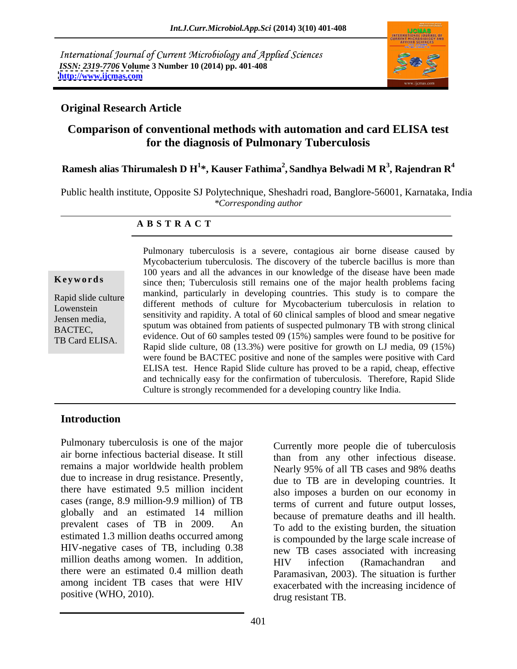International Journal of Current Microbiology and Applied Sciences *ISSN: 2319-7706* **Volume 3 Number 10 (2014) pp. 401-408 <http://www.ijcmas.com>**



### **Original Research Article**

# **Comparison of conventional methods with automation and card ELISA test for the diagnosis of Pulmonary Tuberculosis**

### **Ramesh alias Thirumalesh D H<sup>1</sup> \*, Kauser Fathima<sup>2</sup> , Sandhya Belwadi M R<sup>3</sup> , Rajendran R<sup>4</sup>**

Public health institute, Opposite SJ Polytechnique, Sheshadri road, Banglore-56001, Karnataka, India *\*Corresponding author* 

### **A B S T R A C T**

**Keywords** since then; Tuberculosis still remains one of the major health problems facing Rapid slide culture and the contract of the contract of the contract of the contract of the contract of the contract of the contract of the contract of the contract of the contract of the contract of the contract of the co Lowenstein different methods of culture for Mycobacterium tuberculosis in relation to Jensen media,<br>BACTEC sputum was obtained from patients of suspected pulmonary TB with strong clinical BACTEC,<br>TR Card ELISA evidence. Out of 60 samples tested 09 (15%) samples were found to be positive for TB Card ELISA.<br>Rapid slide culture, 08 (13.3%) were positive for growth on LJ media, 09 (15%) Pulmonary tuberculosis is a severe, contagious air borne disease caused by Mycobacterium tuberculosis. The discovery of the tubercle bacillus is more than 100 years and all the advances in our knowledge of the disease have been made mankind, particularly in developing countries. This study is to compare the sensitivity and rapidity. A total of 60 clinical samples of blood and smear negative were found be BACTEC positive and none of the samples were positive with Card ELISA test. Hence Rapid Slide culture has proved to be a rapid, cheap, effective and technically easy for the confirmation of tuberculosis. Therefore, Rapid Slide Culture is strongly recommended for a developing country like India.

## **Introduction**

Pulmonary tuberculosis is one of the major<br>Currently more people die of tuberculosis air borne infectious bacterial disease.It still remains a major worldwide health problem<br>Nearly 95% of all TB cases and 98% deaths due to increase in drug resistance. Presently, there have estimated 9.5 million incident cases (range, 8.9 million-9.9 million) of TB globally and an estimated 14 million prevalent cases of TB in 2009. An To add to the existing burden, the situation estimated 1.3 million deaths occurred among HIV-negative cases of TB, including 0.38 million deaths among women. In addition, HIV infection (Ramachandran and there were an estimated 0.4 million death among incident TB cases that were HIV

Pulmonary tuberculosis is one of the major<br>
air borne infectious bacterial disease. It still<br>
than from any other infectious disease.<br>
remains a major worldwide health problem<br>
due to increase in drug resistance. Presently than from any other infectious disease. Nearly 95% of all TB cases and 98% deaths due to TB are in developing countries. It also imposes a burden on our economy in terms of current and future output losses, because of premature deaths and ill health. is compounded by the large scale increase of new TB cases associated with increasing HIV infection (Ramachandran and Paramasivan, 2003). The situation is further exacerbated with the increasing incidence of drug resistant TB.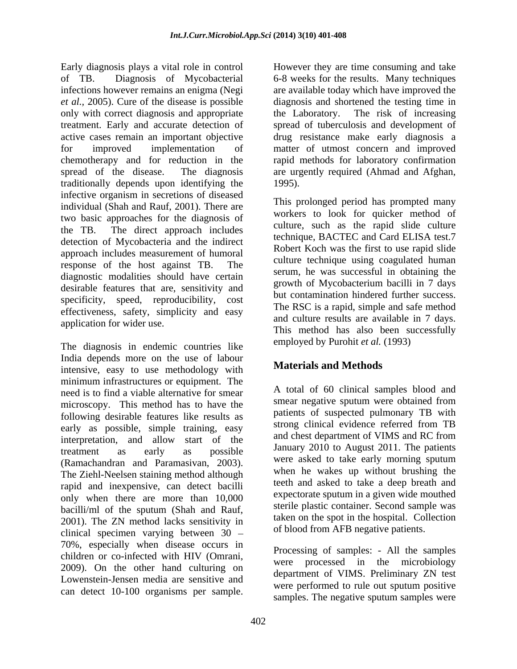Early diagnosis plays a vital role in control **E** However they are time consuming and take of TB. Diagnosis of Mycobacterial 6-8 weeks for the results. Many techniques infections however remains an enigma (Negi are available today which have improved the *et al.,* 2005). Cure of the disease is possible diagnosis and shortened the testing time in only with correct diagnosis and appropriate the Laboratory. The risk of increasing treatment. Early and accurate detection of spread of tuberculosis and development of active cases remain an important objective drug resistance make early diagnosis a for improved implementation of matter of utmost concern and improved chemotherapy and for reduction in the rapid methods for laboratory confirmation spread of the disease. The diagnosis are urgently required (Ahmad and Afghan, traditionally depends upon identifying the infective organism in secretions of diseased<br>individual (Shah and Dayf, 2001). There are individual (Shah and Rauf, 2001). There are two basic approaches for the diagnosis of the TB. The direct approach includes detection of Mycobacteria and the indirect approach includes measurement of humoral response of the host against TB. The diagnostic modalities should have certain desirable features that are, sensitivity and specificity, speed, reproducibility, cost effectiveness, safety, simplicity and easy application for wider use. Fair Gaugesta (m) a However they are since consuming and take the since the since the since the since the since the since the since the since the since the since the since the since the since the since the since the since

The diagnosis in endemic countries like India depends more on the use of labour intensive, easy to use methodology with minimum infrastructures or equipment. The need is to find a viable alternative for smear microscopy. This method has to have the following desirable features like results as early as possible, simple training, easy interpretation, and allow start of the treatment as early as possible  $\frac{Jan uary}{Jan uary}$  zolo to August 2011. The patients (Ramachandran and Paramasivan, 2003). The Ziehl-Neelsen staining method although rapid and inexpensive, can detect bacilli only when there are more than 10,000 bacilli/ml of the sputum (Shah and Rauf,<br>2001). The ZN method lacks sensitivity in the spot in the hospital. Collection clinical specimen varying between 30 70%, especially when disease occurs in children or co-infected with HIV (Omrani,<br>2009). On the other hand culturing on department of VIMS Dralining TM test Lowenstein-Jensen media are sensitive and

the Laboratory. The risk of increasing are urgently required (Ahmad and Afghan, 1995). This prolonged period has prompted many

workers to look for quicker method of culture, such as the rapid slide culture technique, BACTEC and Card ELISA test.7 Robert Koch was the first to use rapid slide culture technique using coagulated human serum, he was successful in obtaining the growth of Mycobacterium bacilli in 7 days but contamination hindered further success. The RSC is a rapid, simple and safe method and culture results are available in 7 days. This method has also been successfully employed by Purohit *et al.* (1993)

# **Materials and Methods**

A total of 60 clinical samples blood and smear negative sputum were obtained from patients of suspected pulmonary TB with strong clinical evidence referred from TB and chest department of VIMS and RC from January 2010 to August 2011. The patients were asked to take early morning sputum when he wakes up without brushing the teeth and asked to take a deep breath and expectorate sputum in a given wide mouthed sterile plastic container. Second sample was taken on the spot in the hospital. Collection of blood from AFB negative patients.

Processing of samples: - All the samples were processed in the microbiology department of VIMS. Preliminary ZN test were performed to rule out sputum positive samples. The negative sputum samples were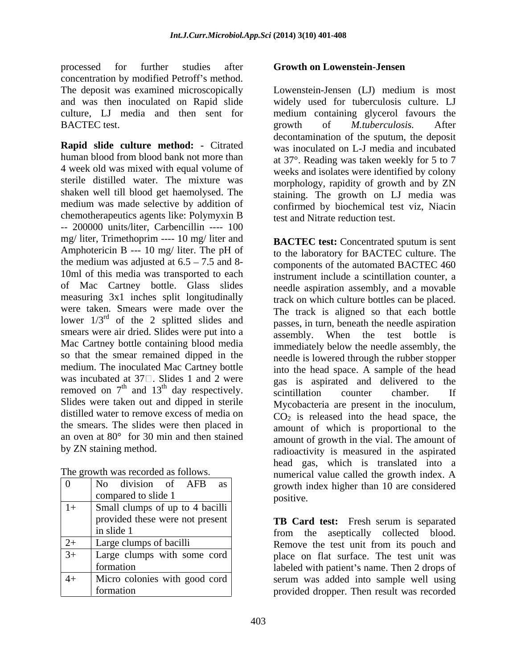processed for further studies after concentration by modified Petroff's method. The deposit was examined microscopically BACTEC test.  $\qquad \qquad$  growth of *M.tuberculosis*. After

**Rapid slide culture method: -** Citrated human blood from blood bank not more than 4 week old was mixed with equal volume of weeks and isolates were identified by colony sterile distilled water. The mixture was morphology, rapidity of growth and by ZN shaken well till blood get haemolysed. The staining. The growth on LJ media was medium was made selective by addition of chemotherapeutics agents like: Polymyxin B -- 200000 units/liter, Carbencillin ---- 100 mg/ liter, Trimethoprim ---- 10 mg/ liter and **BACTEC test:** Concentrated sputum is sent Amphotericin B --- 10 mg/ liter. The pH of the medium was adjusted at  $6.5 - 7.5$  and 8-10ml of this media was transported to each of Mac Cartney bottle. Glass slides measuring 3x1 inches split longitudinally were taken. Smears were made over the smears were air dried. Slides were put into a assembly. Mac Cartney bottle containing blood media so that the smear remained dipped in the medium. The inoculated Mac Cartney bottle Slides were taken out and dipped in sterile distilled water to remove excess of media on the smears. The slides were then placed in an oven at 80° for 30 min and then stained

| $\bf{0}$   | division of<br>No.<br>AFB<br>as     | numerical value canculatie growth muck. <i>A</i><br>growth index higher than 10 are considered |
|------------|-------------------------------------|------------------------------------------------------------------------------------------------|
|            | compared to slide 1                 | positive.                                                                                      |
| $\vert 1+$ | Small clumps of up to 4 bacilli     |                                                                                                |
|            | provided these were not present     | TB Card test: Fresh serum is separated                                                         |
|            | in slide 1                          | from the aseptically collected blood.                                                          |
| $2+$       | Large clumps of bacilli             | Remove the test unit from its pouch and                                                        |
| $3+$       | Large clumps with some cord $\vert$ | place on flat surface. The test unit was                                                       |
|            | formation                           | labeled with patient's name. Then 2 drops of                                                   |
| $-4+$      | Micro colonies with good cord       | serum was added into sample well using                                                         |
|            | formation                           | provided dropper. Then result was recorded                                                     |

### **Growth on Lowenstein-Jensen**

and was then inoculated on Rapid slide widely used for tuberculosis culture. LJ culture, LJ media and then sent for medium containing glycerol favours the Lowenstein-Jensen (LJ) medium is most growth of *M.tuberculosis.* After decontamination of the sputum, the deposit was inoculated on L-J media and incubated at 37°. Reading was taken weekly for 5 to 7 confirmed by biochemical test viz, Niacin test and Nitrate reduction test.

lower  $1/3<sup>rd</sup>$  of the 2 splitted slides and passes in turn beneath the needle aspiration of the 2 splitted slides and passes, in turn, beneath the needle aspiration was incubated at  $37\Box$ . Slides 1 and 2 were gas is aspirated and delivered to the removed on  $7<sup>th</sup>$  and  $13<sup>th</sup>$  day respectively.  $\frac{1}{100}$  and  $\frac{1}{100}$  counter chamber. If  $\frac{1}{2}$  th day respectively.  $\frac{1}{2}$  scintillation counter chamber. If by ZN staining method. The radioactivity is measured in the aspirated The growth was recorded as follows. <br>
numerical value called the growth index. A 0 | No division of AFB as | growth index higher than 10 are considered  $\sum_{\text{positive}}$ **BACTEC test:** Concentrated sputum is sent to the laboratory for BACTEC culture. The components of the automated BACTEC 460 instrument include a scintillation counter, a needle aspiration assembly, and a movable track on which culture bottles can be placed. The track is aligned so that each bottle When the test bottle is immediately below the needle assembly, the needle is lowered through the rubber stopper into the head space. A sample of the head scintillation counter chamber. If Mycobacteria are present in the inoculum,  $CO<sub>2</sub>$  is released into the head space, the amount of which is proportional to the amount of growth in the vial. The amount of head gas, which is translated into a positive.

provided these were not present **TB Card test:** Fresh serum is separated in slide 1 1 and 1 from the aseptically collected blood. 2+ Large clumps of bacilli Remove the test unit from its pouch and 3+ Large clumps with some cord place on flat surface. The test unit was formation and labeled with patient's name. Then 2 drops of 4+ Micro colonies with good cord serum was added into sample well using formation provided dropper. Then result was recorded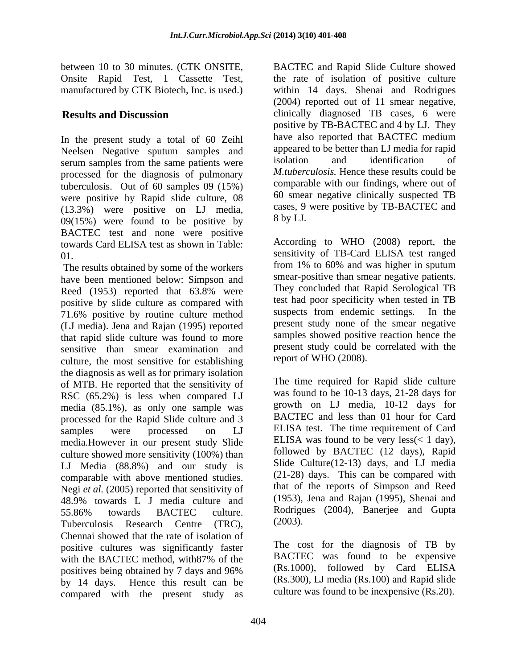In the present study a total of 60 Zeihl Neelsen Negative sputum samples and appeared to be better than LJ media for rapid<br>communication the same potients were isolation and identification of serum samples from the same patients were processed for the diagnosis of pulmonary tuberculosis. Out of 60 samples 09 (15%) were positive by Rapid slide culture, 08 (13.3%) were positive on LJ media, cases, 9<br> $(0.9(15\%)$  were found to be positive by  $8 \text{ by LJ.}$ 09(15%) were found to be positive by BACTEC test and none were positive towards Card ELISA test as shown in Table:

 The results obtained by some of the workers have been mentioned below: Simpson and Reed (1953) reported that 63.8% were They concluded that Rapid Serological IB positive by slide culture as compared with<br>
The suspects from endemic settings. In the positive by routine culture method suspects from endemic settings. In the 71.6% positive by routine culture method (LJ media). Jena and Rajan (1995) reported that rapid slide culture was found to more sensitive than smear examination and culture, the most sensitive for establishing the diagnosis as well as for primary isolation of MTB. He reported that the sensitivity of RSC (65.2%) is less when compared LJ media (85.1%), as only one sample was processed for the Rapid Slide culture and 3 media.However in our present study Slide culture showed more sensitivity (100%) than LJ Media (88.8%) and our study is comparable with above mentioned studies. Negi *et al.* (2005) reported that sensitivity of Tuberculosis Research Centre (TRC), <sup>(2003)</sup>. Chennai showed that the rate of isolation of positive cultures was significantly faster with the BACTEC method, with 87% of the BACTEC was found to be expensive positives being obtained by 7 days and 96% by 14 days. Hence this result can be (Rs.300), LJ media (Rs.100) and Rapid slide compared with the present study as

between 10 to 30 minutes. (CTK ONSITE, BACTEC and Rapid Slide Culture showed Onsite Rapid Test, 1 Cassette Test, the rate of isolation of positive culture manufactured by CTK Biotech, Inc. is used.) within 14 days. Shenai and Rodrigues **Results and Discussion** clinically diagnosed TB cases, 6 were (2004) reported out of 11 smear negative, positive by TB-BACTEC and 4 by LJ. They have also reported that BACTEC medium appeared to be better than LJ media for rapid isolation and identification of *M.tuberculosis.* Hence these results could be comparable with our findings, where out of 60 smear negative clinically suspected TB cases, 9 were positive by TB-BACTEC and 8 by LJ.

01. sensitivity of TB-Card ELISA testranged According to WHO (2008) report, the from 1% to 60% and was higher in sputum smear-positive than smear negative patients. They concluded that Rapid Serological TB test had poor specificity when tested in TB suspects from endemic settings. In the present study none of the smear negative samples showed positive reaction hence the present study could be correlated with the report of WHO (2008).

samples were processed on LJ ELISA test. The time requirement of Card 48.9% towards L J media culture and (1953), Jena and Rajan (1995), Shenai and 55.86% towards BACTEC culture. Rodrigues (2004), Banerjee and Gupta The time required for Rapid slide culture was found to be 10-13 days, 21-28 days for growth on LJ media, 10-12 days for BACTEC and less than 01 hour for Card ELISA was found to be very less $($  1 day), followed by BACTEC (12 days), Rapid Slide Culture(12-13) days, and LJ media (21-28) days. This can be compared with that of the reports of Simpson and Reed (1953), Jena and Rajan (1995), Shenai and Rodrigues (2004), Banerjee and Gupta (2003).

> The cost for the diagnosis of TB by BACTEC was found to be expensive (Rs.1000), followed by Card ELISA culture was found to be inexpensive (Rs.20).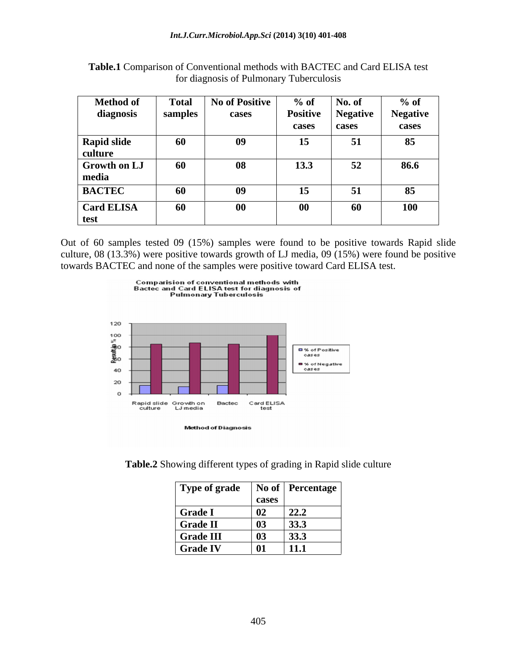| <b>Method of</b>    | <b>Total</b> | <b>No of Positive</b> | $%$ of    | No. of          | $%$ of                 |
|---------------------|--------------|-----------------------|-----------|-----------------|------------------------|
| diagnosis           | samples      | cases                 | Positive  | <b>Negative</b> | - -<br><b>Negative</b> |
|                     |              |                       | cases     | cases           | cases                  |
| <b>Rapid slide</b>  | 60           | 09                    | 15        | $\sim$<br>◡▴    | 85                     |
| culture             |              |                       |           |                 |                        |
| <b>Growth on LJ</b> | 60           | 08                    | 13.3      | 52<br>◡∸        | 86.6                   |
| media               |              |                       |           |                 |                        |
| <b>BACTEC</b>       | 60           | 09                    | 15        | $\sim$<br>ັ     | 85                     |
| <b>Card ELISA</b>   | 60           | $\bf{00}$             | $\bf{00}$ | 60              | <b>100</b>             |
| test                |              |                       |           |                 |                        |

**Table.1** Comparison of Conventional methods with BACTEC and Card ELISA test for diagnosis of Pulmonary Tuberculosis

Out of 60 samples tested 09 (15%) samples were found to be positive towards Rapid slide culture, 08 (13.3%) were positive towards growth of LJ media, 09 (15%) were found be positive towards BACTEC and none of the samples were positive toward Card ELISA test.





| Type of grade    |                            | No of   Percentage |
|------------------|----------------------------|--------------------|
|                  | cases                      |                    |
| <b>Grade I</b>   | $\overline{\phantom{0}02}$ | 22.2               |
| <b>Grade II</b>  | $\vert$ 03                 | 33.3               |
| <b>Grade III</b> | $\boxed{03}$               | 33.3               |
| <b>Grade IV</b>  | 01                         | 11.1               |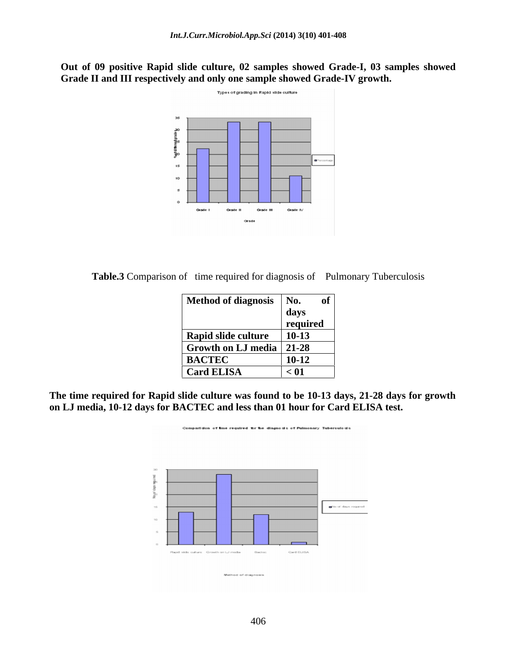**Out of 09 positive Rapid slide culture, 02 samples showed Grade-I, 03 samples showed Grade II and III respectively and only one sample showed Grade-IV growth.** 



Table.3 Comparison of time required for diagnosis of Pulmonary Tuberculosis

| Method of diagnosis   No.  | of <sup>1</sup> |  |
|----------------------------|-----------------|--|
|                            | days            |  |
|                            | required        |  |
| Rapid slide culture        | $10-13$         |  |
| Growth on LJ media   21-28 |                 |  |
| <b>BACTEC</b>              | $10 - 12$       |  |
| <b>Card ELISA</b>          | $\vert$ < 01    |  |

**The time required for Rapid slide culture was found to be 10-13 days, 21-28 days for growth on LJ media, 10-12 days for BACTEC and less than 01 hour for Card ELISA test.**

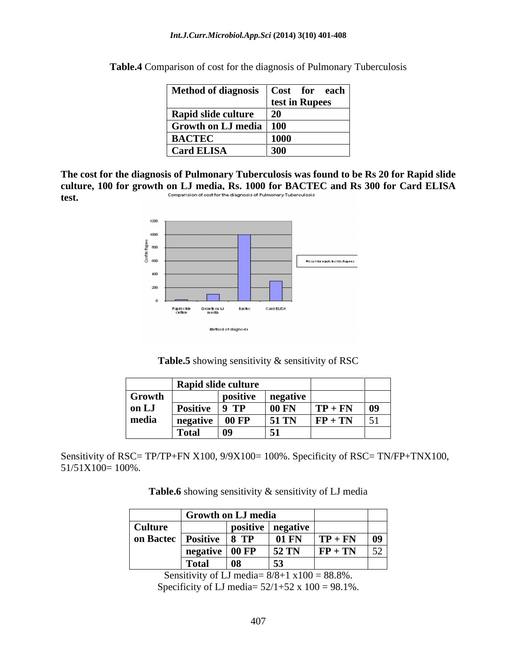| Method of diagnosis   Cost for each |                |
|-------------------------------------|----------------|
|                                     | test in Rupees |
| Rapid slide culture                 |                |
| <b>Growth on LJ media</b>   100     |                |
| <b>BACTEC</b>                       | <b>1000</b>    |
| <b>Card ELISA</b>                   | 300            |

**Table.4** Comparison of cost for the diagnosis of Pulmonary Tuberculosis

**The cost for the diagnosis of Pulmonary Tuberculosis was found to be Rs 20 for Rapid slide culture, 100 for growth on LJ media, Rs. 1000 for BACTEC and Rs 300 for Card ELISA test.** Comparision of cost for the diagnosis of Pulmonary Tuberculosis<br> **test.** 



|        |                       | Rapid slide culture |                   |                                |             |
|--------|-----------------------|---------------------|-------------------|--------------------------------|-------------|
| Growth |                       |                     | positive negative |                                |             |
| on LJ  | <sup>1</sup> Positive | $\vert$ 9 TP        | 00 FN             | $\vert TP + FN \vert 09 \vert$ |             |
| media  | negative 00 FP        |                     | <b>51 TN</b>      | $FP + TN$                      | $\sqrt{51}$ |
|        | <b>Total</b>          | $\vert$ 09          | ັບ                |                                |             |

Sensitivity of RSC= TP/TP+FN X100, 9/9X100= 100%. Specificity of RSC= TN/FP+TNX100, 51/51X100= 100%.

Table.6 showing sensitivity & sensitivity of LJ media

|                                         | Growth on LJ media       |    |                                           |              |                   |
|-----------------------------------------|--------------------------|----|-------------------------------------------|--------------|-------------------|
| Culture                                 |                          |    | $\vert$ positive $\vert$ negative $\vert$ |              |                   |
| $\frac{1}{1}$ on Bactec Positive   8 TP |                          |    | <b>01 FN</b>                              | $TP + FN$ 09 |                   |
|                                         | negative   00 FP   52 TN |    |                                           | $FP + TN$    | $\epsilon$<br>ے ر |
|                                         | <b>Total</b>             | 08 | $\overline{\phantom{a}}$                  |              |                   |

Sensitivity of LJ media=  $8/8+1 \times 100 = 88.8\%$ . Specificity of LJ media=  $52/1+52 \times 100 = 98.1\%$ .